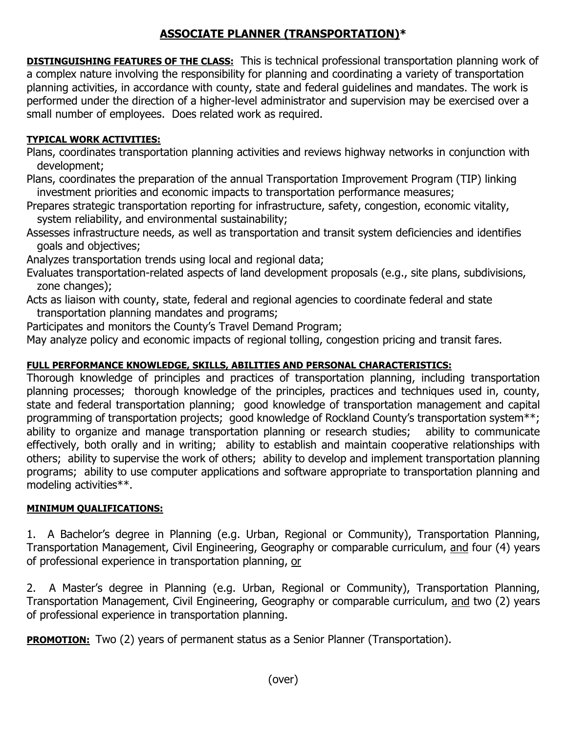## **ASSOCIATE PLANNER (TRANSPORTATION)\***

**DISTINGUISHING FEATURES OF THE CLASS:** This is technical professional transportation planning work of a complex nature involving the responsibility for planning and coordinating a variety of transportation planning activities, in accordance with county, state and federal guidelines and mandates. The work is performed under the direction of a higher-level administrator and supervision may be exercised over a small number of employees. Does related work as required.

## **TYPICAL WORK ACTIVITIES:**

Plans, coordinates transportation planning activities and reviews highway networks in conjunction with development;

Plans, coordinates the preparation of the annual Transportation Improvement Program (TIP) linking investment priorities and economic impacts to transportation performance measures;

Prepares strategic transportation reporting for infrastructure, safety, congestion, economic vitality, system reliability, and environmental sustainability;

Assesses infrastructure needs, as well as transportation and transit system deficiencies and identifies goals and objectives;

Analyzes transportation trends using local and regional data;

Evaluates transportation-related aspects of land development proposals (e.g., site plans, subdivisions, zone changes);

Acts as liaison with county, state, federal and regional agencies to coordinate federal and state transportation planning mandates and programs;

Participates and monitors the County's Travel Demand Program;

May analyze policy and economic impacts of regional tolling, congestion pricing and transit fares.

## **FULL PERFORMANCE KNOWLEDGE, SKILLS, ABILITIES AND PERSONAL CHARACTERISTICS:**

Thorough knowledge of principles and practices of transportation planning, including transportation planning processes; thorough knowledge of the principles, practices and techniques used in, county, state and federal transportation planning; good knowledge of transportation management and capital programming of transportation projects; good knowledge of Rockland County's transportation system\*\*; ability to organize and manage transportation planning or research studies; ability to communicate effectively, both orally and in writing; ability to establish and maintain cooperative relationships with others; ability to supervise the work of others; ability to develop and implement transportation planning programs; ability to use computer applications and software appropriate to transportation planning and modeling activities\*\*.

## **MINIMUM QUALIFICATIONS:**

1. A Bachelor's degree in Planning (e.g. Urban, Regional or Community), Transportation Planning, Transportation Management, Civil Engineering, Geography or comparable curriculum, and four (4) years of professional experience in transportation planning, or

2. A Master's degree in Planning (e.g. Urban, Regional or Community), Transportation Planning, Transportation Management, Civil Engineering, Geography or comparable curriculum, and two (2) years of professional experience in transportation planning.

**PROMOTION:** Two (2) years of permanent status as a Senior Planner (Transportation).